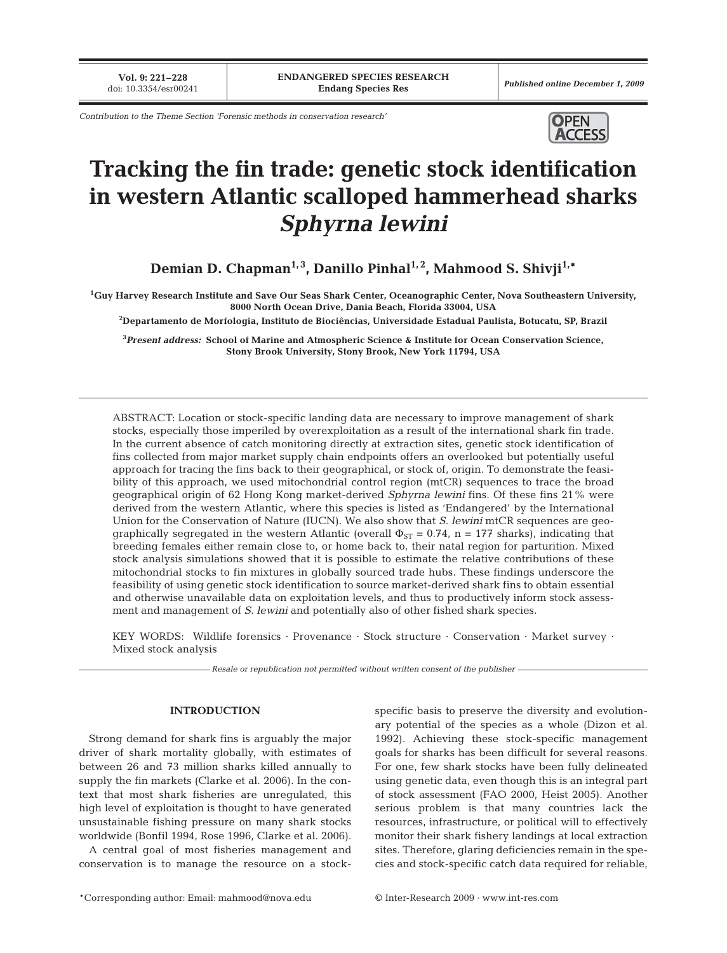**Vol. 9: 221–228**<br>doi: 10.3354/esr00241

*Contribution to the Theme Section 'Forensic methods in conservation research'* **OPEN** 



# **Tracking the fin trade: genetic stock identification in western Atlantic scalloped hammerhead sharks** *Sphyrna lewini*

Demian D. Chapman<sup>1,3</sup>, Danillo Pinhal<sup>1,2</sup>, Mahmood S. Shivji<sup>1,\*</sup>

**1 Guy Harvey Research Institute and Save Our Seas Shark Center, Oceanographic Center, Nova Southeastern University, 8000 North Ocean Drive, Dania Beach, Florida 33004, USA**

**2 Departamento de Morfologia, Instituto de Biociências, Universidade Estadual Paulista, Botucatu, SP, Brazil**

**3** *Present address:* **School of Marine and Atmospheric Science & Institute for Ocean Conservation Science, Stony Brook University, Stony Brook, New York 11794, USA**

ABSTRACT: Location or stock-specific landing data are necessary to improve management of shark stocks, especially those imperiled by overexploitation as a result of the international shark fin trade. In the current absence of catch monitoring directly at extraction sites, genetic stock identification of fins collected from major market supply chain endpoints offers an overlooked but potentially useful approach for tracing the fins back to their geographical, or stock of, origin. To demonstrate the feasibility of this approach, we used mitochondrial control region (mtCR) sequences to trace the broad geographical origin of 62 Hong Kong market-derived *Sphyrna lewini* fins. Of these fins 21% were derived from the western Atlantic, where this species is listed as 'Endangered' by the International Union for the Conservation of Nature (IUCN). We also show that *S. lewini* mtCR sequences are geographically segregated in the western Atlantic (overall  $\Phi_{ST} = 0.74$ , n = 177 sharks), indicating that breeding females either remain close to, or home back to, their natal region for parturition. Mixed stock analysis simulations showed that it is possible to estimate the relative contributions of these mitochondrial stocks to fin mixtures in globally sourced trade hubs. These findings underscore the feasibility of using genetic stock identification to source market-derived shark fins to obtain essential and otherwise unavailable data on exploitation levels, and thus to productively inform stock assessment and management of *S. lewini* and potentially also of other fished shark species.

KEY WORDS: Wildlife forensics · Provenance · Stock structure · Conservation · Market survey · Mixed stock analysis

*Resale or republication not permitted without written consent of the publisher*

# **INTRODUCTION**

Strong demand for shark fins is arguably the major driver of shark mortality globally, with estimates of between 26 and 73 million sharks killed annually to supply the fin markets (Clarke et al. 2006). In the context that most shark fisheries are unregulated, this high level of exploitation is thought to have generated unsustainable fishing pressure on many shark stocks worldwide (Bonfil 1994, Rose 1996, Clarke et al. 2006).

A central goal of most fisheries management and conservation is to manage the resource on a stockspecific basis to preserve the diversity and evolutionary potential of the species as a whole (Dizon et al. 1992). Achieving these stock-specific management goals for sharks has been difficult for several reasons. For one, few shark stocks have been fully delineated using genetic data, even though this is an integral part of stock assessment (FAO 2000, Heist 2005). Another serious problem is that many countries lack the resources, infrastructure, or political will to effectively monitor their shark fishery landings at local extraction sites. Therefore, glaring deficiencies remain in the species and stock-specific catch data required for reliable,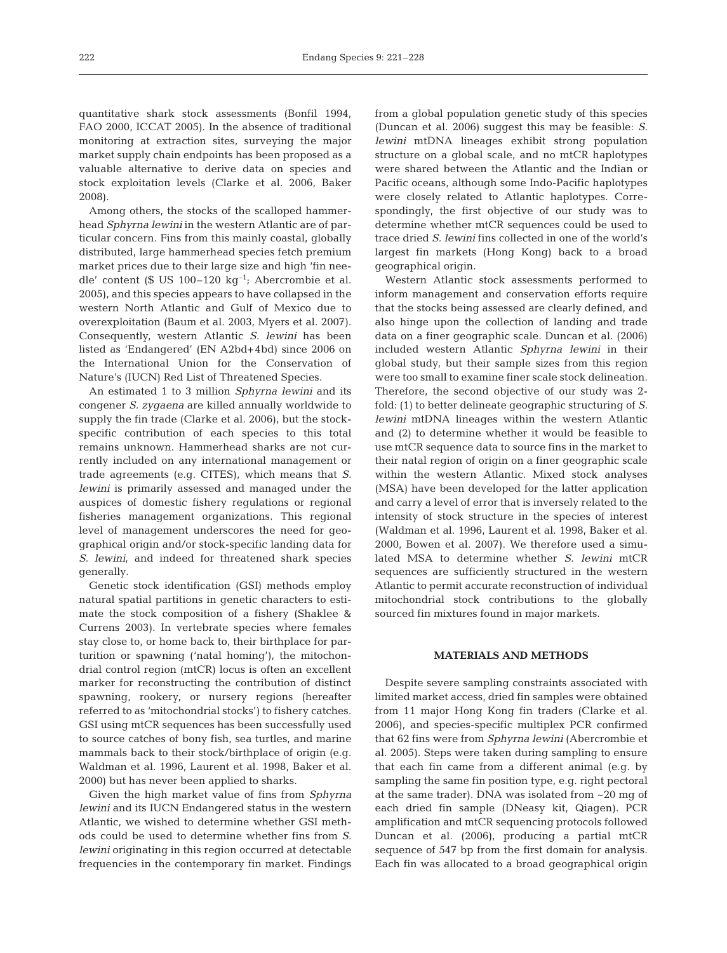quantitative shark stock assessments (Bonfil 1994, FAO 2000, ICCAT 2005). In the absence of traditional monitoring at extraction sites, surveying the major market supply chain endpoints has been proposed as a valuable alternative to derive data on species and stock exploitation levels (Clarke et al. 2006, Baker 2008).

Among others, the stocks of the scalloped hammerhead *Sphyrna lewini* in the western Atlantic are of particular concern. Fins from this mainly coastal, globally distributed, large hammerhead species fetch premium market prices due to their large size and high 'fin needle' content (\$ US 100–120 kg<sup>-1</sup>; Abercrombie et al. 2005), and this species appears to have collapsed in the western North Atlantic and Gulf of Mexico due to overexploitation (Baum et al. 2003, Myers et al. 2007). Consequently, western Atlantic *S. lewini* has been listed as 'Endangered' (EN A2bd+4bd) since 2006 on the International Union for the Conservation of Nature's (IUCN) Red List of Threatened Species.

An estimated 1 to 3 million *Sphyrna lewini* and its congener *S. zygaena* are killed annually worldwide to supply the fin trade (Clarke et al. 2006), but the stockspecific contribution of each species to this total remains unknown. Hammerhead sharks are not currently included on any international management or trade agreements (e.g. CITES), which means that *S. lewini* is primarily assessed and managed under the auspices of domestic fishery regulations or regional fisheries management organizations. This regional level of management underscores the need for geographical origin and/or stock-specific landing data for *S. lewini*, and indeed for threatened shark species generally.

Genetic stock identification (GSI) methods employ natural spatial partitions in genetic characters to estimate the stock composition of a fishery (Shaklee & Currens 2003). In vertebrate species where females stay close to, or home back to, their birthplace for parturition or spawning ('natal homing'), the mitochondrial control region (mtCR) locus is often an excellent marker for reconstructing the contribution of distinct spawning, rookery, or nursery regions (hereafter referred to as 'mitochondrial stocks') to fishery catches. GSI using mtCR sequences has been successfully used to source catches of bony fish, sea turtles, and marine mammals back to their stock/birthplace of origin (e.g. Waldman et al. 1996, Laurent et al. 1998, Baker et al. 2000) but has never been applied to sharks.

Given the high market value of fins from *Sphyrna lewini* and its IUCN Endangered status in the western Atlantic, we wished to determine whether GSI methods could be used to determine whether fins from *S. lewini* originating in this region occurred at detectable frequencies in the contemporary fin market. Findings

from a global population genetic study of this species (Duncan et al. 2006) suggest this may be feasible: *S. lewini* mtDNA lineages exhibit strong population structure on a global scale, and no mtCR haplotypes were shared between the Atlantic and the Indian or Pacific oceans, although some Indo-Pacific haplotypes were closely related to Atlantic haplotypes. Correspondingly, the first objective of our study was to determine whether mtCR sequences could be used to trace dried *S. lewini* fins collected in one of the world's largest fin markets (Hong Kong) back to a broad geographical origin.

Western Atlantic stock assessments performed to inform management and conservation efforts require that the stocks being assessed are clearly defined, and also hinge upon the collection of landing and trade data on a finer geographic scale. Duncan et al. (2006) included western Atlantic *Sphyrna lewini* in their global study, but their sample sizes from this region were too small to examine finer scale stock delineation. Therefore, the second objective of our study was 2 fold: (1) to better delineate geographic structuring of *S. lewini* mtDNA lineages within the western Atlantic and (2) to determine whether it would be feasible to use mtCR sequence data to source fins in the market to their natal region of origin on a finer geographic scale within the western Atlantic. Mixed stock analyses (MSA) have been developed for the latter application and carry a level of error that is inversely related to the intensity of stock structure in the species of interest (Waldman et al. 1996, Laurent et al. 1998, Baker et al. 2000, Bowen et al. 2007). We therefore used a simulated MSA to determine whether *S. lewini* mtCR sequences are sufficiently structured in the western Atlantic to permit accurate reconstruction of individual mitochondrial stock contributions to the globally sourced fin mixtures found in major markets.

# **MATERIALS AND METHODS**

Despite severe sampling constraints associated with limited market access, dried fin samples were obtained from 11 major Hong Kong fin traders (Clarke et al. 2006), and species-specific multiplex PCR confirmed that 62 fins were from *Sphyrna lewini* (Abercrombie et al. 2005). Steps were taken during sampling to ensure that each fin came from a different animal (e.g. by sampling the same fin position type, e.g. right pectoral at the same trader). DNA was isolated from ~20 mg of each dried fin sample (DNeasy kit, Qiagen). PCR amplification and mtCR sequencing protocols followed Duncan et al. (2006), producing a partial mtCR sequence of 547 bp from the first domain for analysis. Each fin was allocated to a broad geographical origin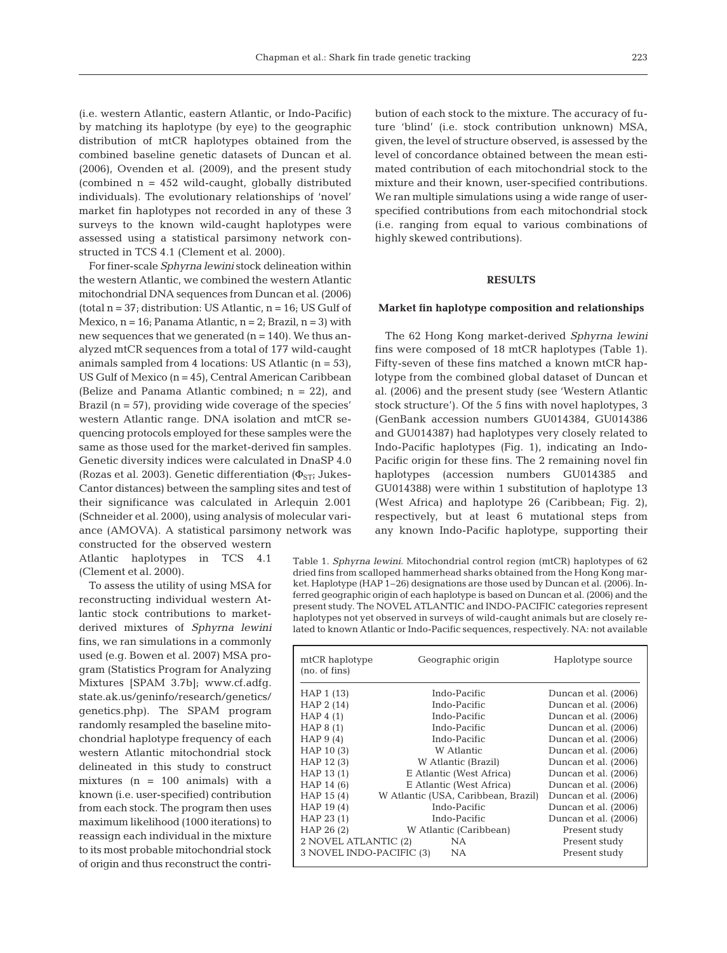(i.e. western Atlantic, eastern Atlantic, or Indo-Pacific) by matching its haplotype (by eye) to the geographic distribution of mtCR haplotypes obtained from the combined baseline genetic datasets of Duncan et al. (2006), Ovenden et al. (2009), and the present study (combined  $n = 452$  wild-caught, globally distributed individuals). The evolutionary relationships of 'novel' market fin haplotypes not recorded in any of these 3 surveys to the known wild-caught haplotypes were assessed using a statistical parsimony network constructed in TCS 4.1 (Clement et al. 2000).

For finer-scale *Sphyrna lewini* stock delineation within the western Atlantic, we combined the western Atlantic mitochondrial DNA sequences from Duncan et al. (2006) (total  $n = 37$ ; distribution: US Atlantic,  $n = 16$ ; US Gulf of Mexico,  $n = 16$ ; Panama Atlantic,  $n = 2$ ; Brazil,  $n = 3$ ) with new sequences that we generated  $(n = 140)$ . We thus analyzed mtCR sequences from a total of 177 wild-caught animals sampled from 4 locations: US Atlantic  $(n = 53)$ , US Gulf of Mexico (n = 45), Central American Caribbean (Belize and Panama Atlantic combined; n = 22), and Brazil  $(n = 57)$ , providing wide coverage of the species' western Atlantic range. DNA isolation and mtCR sequencing protocols employed for these samples were the same as those used for the market-derived fin samples. Genetic diversity indices were calculated in DnaSP 4.0 (Rozas et al. 2003). Genetic differentiation ( $\Phi$ <sub>ST</sub>; Jukes-Cantor distances) between the sampling sites and test of their significance was calculated in Arlequin 2.001 (Schneider et al. 2000), using analysis of molecular variance (AMOVA). A statistical parsimony network was constructed for the observed western

Atlantic haplotypes in TCS 4.1 (Clement et al. 2000).

To assess the utility of using MSA for reconstructing individual western Atlantic stock contributions to marketderived mixtures of *Sphyrna lewini* fins, we ran simulations in a commonly used (e.g. Bowen et al. 2007) MSA program (Statistics Program for Analyzing Mixtures [SPAM 3.7b]; www.cf.adfg. state.ak.us/geninfo/research/genetics/ genetics.php). The SPAM program randomly resampled the baseline mitochondrial haplotype frequency of each western Atlantic mitochondrial stock delineated in this study to construct mixtures  $(n = 100 \text{ animals})$  with a known (i.e. user-specified) contribution from each stock. The program then uses maximum likelihood (1000 iterations) to reassign each individual in the mixture to its most probable mitochondrial stock of origin and thus reconstruct the contribution of each stock to the mixture. The accuracy of future 'blind' (i.e. stock contribution unknown) MSA, given, the level of structure observed, is assessed by the level of concordance obtained between the mean estimated contribution of each mitochondrial stock to the mixture and their known, user-specified contributions. We ran multiple simulations using a wide range of userspecified contributions from each mitochondrial stock (i.e. ranging from equal to various combinations of highly skewed contributions).

## **RESULTS**

### **Market fin haplotype composition and relationships**

The 62 Hong Kong market-derived *Sphyrna lewini* fins were composed of 18 mtCR haplotypes (Table 1). Fifty-seven of these fins matched a known mtCR haplotype from the combined global dataset of Duncan et al. (2006) and the present study (see 'Western Atlantic stock structure'). Of the 5 fins with novel haplotypes, 3 (GenBank accession numbers GU014384, GU014386 and GU014387) had haplotypes very closely related to Indo-Pacific haplotypes (Fig. 1), indicating an Indo-Pacific origin for these fins. The 2 remaining novel fin haplotypes (accession numbers GU014385 and GU014388) were within 1 substitution of haplotype 13 (West Africa) and haplotype 26 (Caribbean; Fig. 2), respectively, but at least 6 mutational steps from any known Indo-Pacific haplotype, supporting their

Table 1. *Sphyrna lewini.* Mitochondrial control region (mtCR) haplotypes of 62 dried fins from scalloped hammerhead sharks obtained from the Hong Kong market. Haplotype (HAP 1–26) designations are those used by Duncan et al. (2006). Inferred geographic origin of each haplotype is based on Duncan et al. (2006) and the present study. The NOVEL ATLANTIC and INDO-PACIFIC categories represent haplotypes not yet observed in surveys of wild-caught animals but are closely related to known Atlantic or Indo-Pacific sequences, respectively. NA: not available

| mtCR haplotype<br>(no. of fins)                  | Geographic origin                   | Haplotype source     |  |  |
|--------------------------------------------------|-------------------------------------|----------------------|--|--|
| HAP 1 (13)                                       | Indo-Pacific                        | Duncan et al. (2006) |  |  |
| HAP 2 (14)                                       | Indo-Pacific                        | Duncan et al. (2006) |  |  |
| HAP $4(1)$                                       | Indo-Pacific                        | Duncan et al. (2006) |  |  |
| HAP $8(1)$                                       | Indo-Pacific                        | Duncan et al. (2006) |  |  |
| HAP $9(4)$                                       | Indo-Pacific                        | Duncan et al. (2006) |  |  |
| HAP 10(3)                                        | W Atlantic                          | Duncan et al. (2006) |  |  |
| HAP 12(3)                                        | W Atlantic (Brazil)                 | Duncan et al. (2006) |  |  |
| HAP 13(1)                                        | E Atlantic (West Africa)            | Duncan et al. (2006) |  |  |
| HAP 14 (6)                                       | E Atlantic (West Africa)            | Duncan et al. (2006) |  |  |
| HAP 15(4)                                        | W Atlantic (USA, Caribbean, Brazil) | Duncan et al. (2006) |  |  |
| HAP 19(4)                                        | Indo-Pacific                        | Duncan et al. (2006) |  |  |
| HAP 23(1)                                        | Indo-Pacific                        | Duncan et al. (2006) |  |  |
| HAP 26 (2)                                       | W Atlantic (Caribbean)              | Present study        |  |  |
| 2 NOVEL ATLANTIC (2)                             | NA.                                 | Present study        |  |  |
| 3 NOVEL INDO-PACIFIC (3)<br>NA.<br>Present study |                                     |                      |  |  |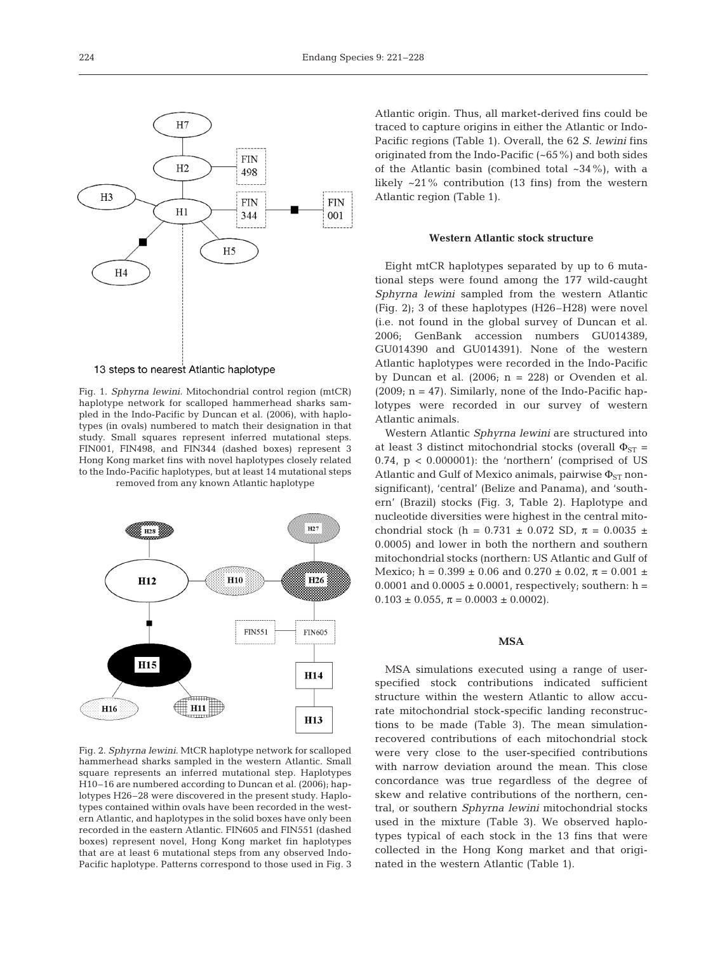

13 steps to nearest Atlantic haplotype

Fig. 1. *Sphyrna lewini.* Mitochondrial control region (mtCR) haplotype network for scalloped hammerhead sharks sampled in the Indo-Pacific by Duncan et al. (2006), with haplotypes (in ovals) numbered to match their designation in that study. Small squares represent inferred mutational steps. FIN001, FIN498, and FIN344 (dashed boxes) represent 3 Hong Kong market fins with novel haplotypes closely related to the Indo-Pacific haplotypes, but at least 14 mutational steps removed from any known Atlantic haplotype



Fig. 2. *Sphyrna lewini.* MtCR haplotype network for scalloped hammerhead sharks sampled in the western Atlantic. Small square represents an inferred mutational step. Haplotypes H10–16 are numbered according to Duncan et al. (2006); haplotypes H26–28 were discovered in the present study. Haplotypes contained within ovals have been recorded in the western Atlantic, and haplotypes in the solid boxes have only been recorded in the eastern Atlantic. FIN605 and FIN551 (dashed boxes) represent novel, Hong Kong market fin haplotypes that are at least 6 mutational steps from any observed Indo-Pacific haplotype. Patterns correspond to those used in Fig. 3

Atlantic origin. Thus, all market-derived fins could be traced to capture origins in either the Atlantic or Indo-Pacific regions (Table 1). Overall, the 62 *S. lewini* fins originated from the Indo-Pacific (~65%) and both sides of the Atlantic basin (combined total  $\sim$ 34%), with a likely ~21% contribution (13 fins) from the western Atlantic region (Table 1).

# **Western Atlantic stock structure**

Eight mtCR haplotypes separated by up to 6 mutational steps were found among the 177 wild-caught *Sphyrna lewini* sampled from the western Atlantic (Fig. 2); 3 of these haplotypes (H26–H28) were novel (i.e. not found in the global survey of Duncan et al. 2006; GenBank accession numbers GU014389, GU014390 and GU014391). None of the western Atlantic haplotypes were recorded in the Indo-Pacific by Duncan et al.  $(2006; n = 228)$  or Ovenden et al. (2009;  $n = 47$ ). Similarly, none of the Indo-Pacific haplotypes were recorded in our survey of western Atlantic animals.

Western Atlantic *Sphyrna lewini* are structured into at least 3 distinct mitochondrial stocks (overall  $\Phi_{ST}$  = 0.74, p < 0.000001): the 'northern' (comprised of US Atlantic and Gulf of Mexico animals, pairwise  $\Phi_{ST}$  nonsignificant), 'central' (Belize and Panama), and 'southern' (Brazil) stocks (Fig. 3, Table 2). Haplotype and nucleotide diversities were highest in the central mitochondrial stock (h = 0.731  $\pm$  0.072 SD,  $\pi$  = 0.0035  $\pm$ 0.0005) and lower in both the northern and southern mitochondrial stocks (northern: US Atlantic and Gulf of Mexico; h =  $0.399 \pm 0.06$  and  $0.270 \pm 0.02$ ,  $\pi = 0.001 \pm 0.02$ 0.0001 and  $0.0005 \pm 0.0001$ , respectively; southern: h =  $0.103 \pm 0.055$ ,  $\pi = 0.0003 \pm 0.0002$ ).

## **MSA**

MSA simulations executed using a range of userspecified stock contributions indicated sufficient structure within the western Atlantic to allow accurate mitochondrial stock-specific landing reconstructions to be made (Table 3). The mean simulationrecovered contributions of each mitochondrial stock were very close to the user-specified contributions with narrow deviation around the mean. This close concordance was true regardless of the degree of skew and relative contributions of the northern, central, or southern *Sphyrna lewini* mitochondrial stocks used in the mixture (Table 3). We observed haplotypes typical of each stock in the 13 fins that were collected in the Hong Kong market and that originated in the western Atlantic (Table 1).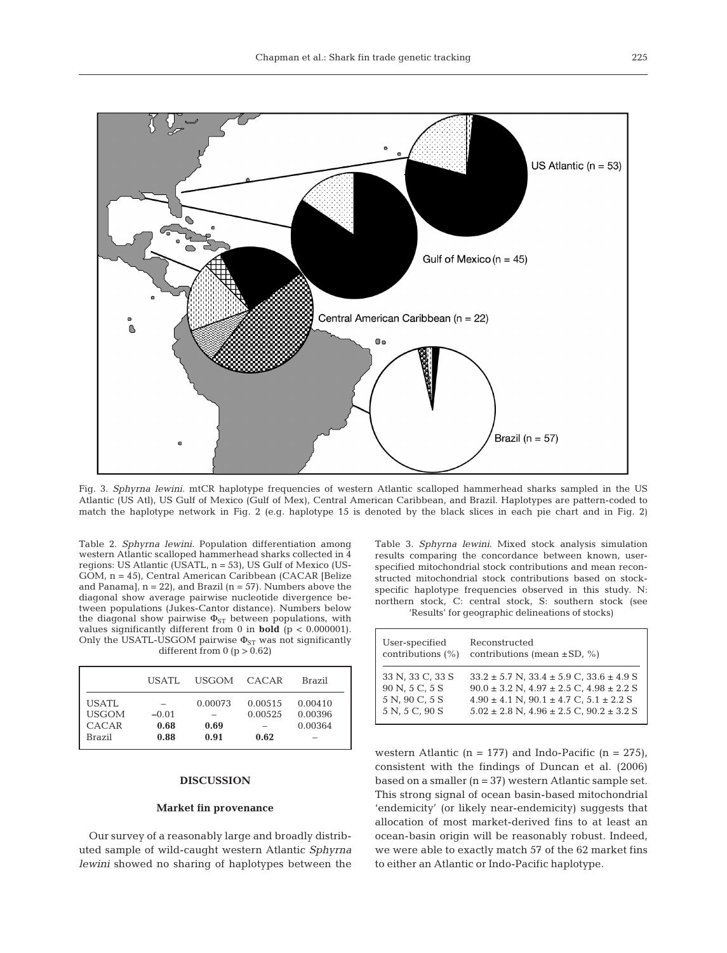

Fig. 3. *Sphyrna lewini*. mtCR haplotype frequencies of western Atlantic scalloped hammerhead sharks sampled in the US Atlantic (US Atl), US Gulf of Mexico (Gulf of Mex), Central American Caribbean, and Brazil. Haplotypes are pattern-coded to match the haplotype network in Fig. 2 (e.g. haplotype 15 is denoted by the black slices in each pie chart and in Fig. 2)

Table 2. *Sphyrna lewini.* Population differentiation among western Atlantic scalloped hammerhead sharks collected in 4 regions: US Atlantic (USATL, n = 53), US Gulf of Mexico (US-GOM, n = 45), Central American Caribbean (CACAR [Belize and Panama],  $n = 22$ ), and Brazil ( $n = 57$ ). Numbers above the diagonal show average pairwise nucleotide divergence between populations (Jukes-Cantor distance). Numbers below the diagonal show pairwise  $\Phi_{ST}$  between populations, with values significantly different from 0 in **bold** (p < 0.000001). Only the USATL-USGOM pairwise  $\Phi_{ST}$  was not significantly different from  $0$  ( $p > 0.62$ )

|                                                 | USATL.                  | USGOM CACAR             |                            | Brazil                        |
|-------------------------------------------------|-------------------------|-------------------------|----------------------------|-------------------------------|
| <b>USATL</b><br><b>USGOM</b><br>CACAR<br>Brazil | $-0.01$<br>0.68<br>0.88 | 0.00073<br>0.69<br>0.91 | 0.00515<br>0.00525<br>0.62 | 0.00410<br>0.00396<br>0.00364 |

#### **DISCUSSION**

### **Market fin provenance**

Our survey of a reasonably large and broadly distributed sample of wild-caught western Atlantic *Sphyrna lewini* showed no sharing of haplotypes between the Table 3. *Sphyrna lewini*. Mixed stock analysis simulation results comparing the concordance between known, userspecified mitochondrial stock contributions and mean reconstructed mitochondrial stock contributions based on stockspecific haplotype frequencies observed in this study. N: northern stock, C: central stock, S: southern stock (see 'Results' for geographic delineations of stocks)

| User-specified       | Reconstructed                                        |
|----------------------|------------------------------------------------------|
| contributions $(\%)$ | contributions (mean $\pm$ SD, %)                     |
| 33 N, 33 C, 33 S     | $33.2 \pm 5.7$ N, $33.4 \pm 5.9$ C, $33.6 \pm 4.9$ S |
| 90 N, 5 C, 5 S       | $90.0 \pm 3.2$ N, $4.97 \pm 2.5$ C, $4.98 \pm 2.2$ S |
| 5 N, 90 C, 5 S       | $4.90 \pm 4.1$ N, $90.1 \pm 4.7$ C, $5.1 \pm 2.2$ S  |
| 5 N, 5 C, 90 S       | $5.02 \pm 2.8$ N, $4.96 \pm 2.5$ C, $90.2 \pm 3.2$ S |

western Atlantic ( $n = 177$ ) and Indo-Pacific ( $n = 275$ ), consistent with the findings of Duncan et al. (2006) based on a smaller (n = 37) western Atlantic sample set. This strong signal of ocean basin-based mitochondrial 'endemicity' (or likely near-endemicity) suggests that allocation of most market-derived fins to at least an ocean-basin origin will be reasonably robust. Indeed, we were able to exactly match 57 of the 62 market fins to either an Atlantic or Indo-Pacific haplotype.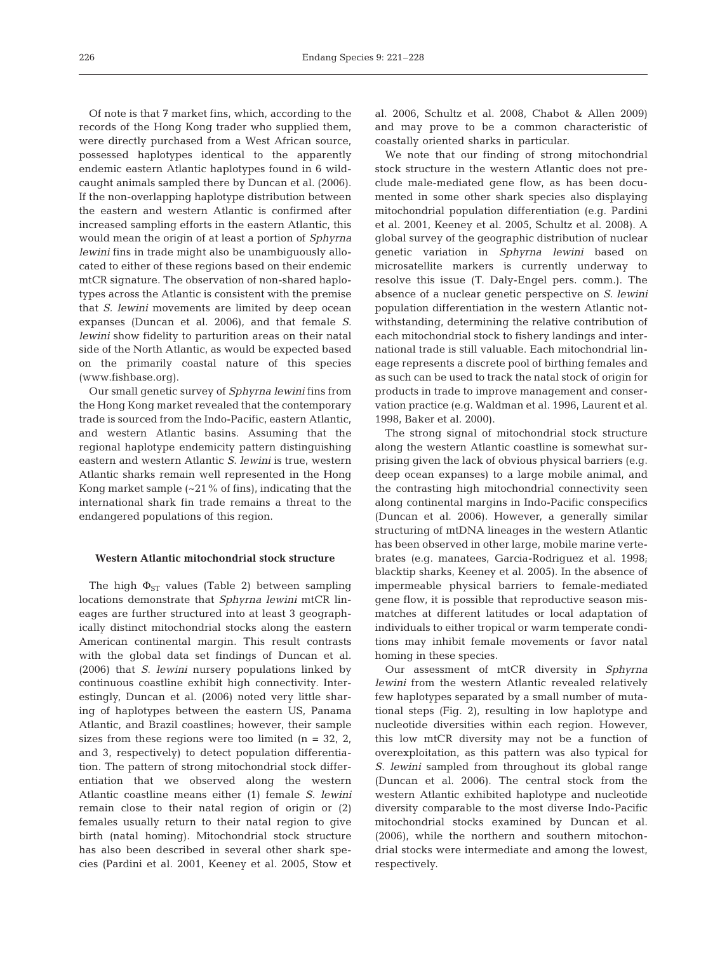Of note is that 7 market fins, which, according to the records of the Hong Kong trader who supplied them, were directly purchased from a West African source, possessed haplotypes identical to the apparently endemic eastern Atlantic haplotypes found in 6 wildcaught animals sampled there by Duncan et al. (2006). If the non-overlapping haplotype distribution between the eastern and western Atlantic is confirmed after increased sampling efforts in the eastern Atlantic, this would mean the origin of at least a portion of *Sphyrna lewini* fins in trade might also be unambiguously allocated to either of these regions based on their endemic mtCR signature. The observation of non-shared haplotypes across the Atlantic is consistent with the premise that *S. lewini* movements are limited by deep ocean expanses (Duncan et al. 2006), and that female *S. lewini* show fidelity to parturition areas on their natal side of the North Atlantic, as would be expected based on the primarily coastal nature of this species (www.fishbase.org).

Our small genetic survey of *Sphyrna lewini* fins from the Hong Kong market revealed that the contemporary trade is sourced from the Indo-Pacific, eastern Atlantic, and western Atlantic basins. Assuming that the regional haplotype endemicity pattern distinguishing eastern and western Atlantic *S. lewini* is true, western Atlantic sharks remain well represented in the Hong Kong market sample  $(-21\% \text{ of fins})$ , indicating that the international shark fin trade remains a threat to the endangered populations of this region.

# **Western Atlantic mitochondrial stock structure**

The high  $\Phi_{ST}$  values (Table 2) between sampling locations demonstrate that *Sphyrna lewini* mtCR lineages are further structured into at least 3 geographically distinct mitochondrial stocks along the eastern American continental margin. This result contrasts with the global data set findings of Duncan et al. (2006) that *S. lewini* nursery populations linked by continuous coastline exhibit high connectivity. Interestingly, Duncan et al. (2006) noted very little sharing of haplotypes between the eastern US, Panama Atlantic, and Brazil coastlines; however, their sample sizes from these regions were too limited ( $n = 32, 2$ , and 3, respectively) to detect population differentiation. The pattern of strong mitochondrial stock differentiation that we observed along the western Atlantic coastline means either (1) female *S. lewini* remain close to their natal region of origin or (2) females usually return to their natal region to give birth (natal homing). Mitochondrial stock structure has also been described in several other shark species (Pardini et al. 2001, Keeney et al. 2005, Stow et

al. 2006, Schultz et al. 2008, Chabot & Allen 2009) and may prove to be a common characteristic of coastally oriented sharks in particular.

We note that our finding of strong mitochondrial stock structure in the western Atlantic does not preclude male-mediated gene flow, as has been documented in some other shark species also displaying mitochondrial population differentiation (e.g. Pardini et al. 2001, Keeney et al. 2005, Schultz et al. 2008). A global survey of the geographic distribution of nuclear genetic variation in *Sphyrna lewini* based on microsatellite markers is currently underway to resolve this issue (T. Daly-Engel pers. comm.). The absence of a nuclear genetic perspective on *S. lewini* population differentiation in the western Atlantic notwithstanding, determining the relative contribution of each mitochondrial stock to fishery landings and international trade is still valuable. Each mitochondrial lineage represents a discrete pool of birthing females and as such can be used to track the natal stock of origin for products in trade to improve management and conservation practice (e.g. Waldman et al. 1996, Laurent et al. 1998, Baker et al. 2000).

The strong signal of mitochondrial stock structure along the western Atlantic coastline is somewhat surprising given the lack of obvious physical barriers (e.g. deep ocean expanses) to a large mobile animal, and the contrasting high mitochondrial connectivity seen along continental margins in Indo-Pacific conspecifics (Duncan et al. 2006). However, a generally similar structuring of mtDNA lineages in the western Atlantic has been observed in other large, mobile marine vertebrates (e.g. manatees, Garcia-Rodriguez et al. 1998; blacktip sharks, Keeney et al. 2005). In the absence of impermeable physical barriers to female-mediated gene flow, it is possible that reproductive season mismatches at different latitudes or local adaptation of individuals to either tropical or warm temperate conditions may inhibit female movements or favor natal homing in these species.

Our assessment of mtCR diversity in *Sphyrna lewini* from the western Atlantic revealed relatively few haplotypes separated by a small number of mutational steps (Fig. 2), resulting in low haplotype and nucleotide diversities within each region. However, this low mtCR diversity may not be a function of overexploitation, as this pattern was also typical for *S. lewini* sampled from throughout its global range (Duncan et al. 2006). The central stock from the western Atlantic exhibited haplotype and nucleotide diversity comparable to the most diverse Indo-Pacific mitochondrial stocks examined by Duncan et al. (2006), while the northern and southern mitochondrial stocks were intermediate and among the lowest, respectively.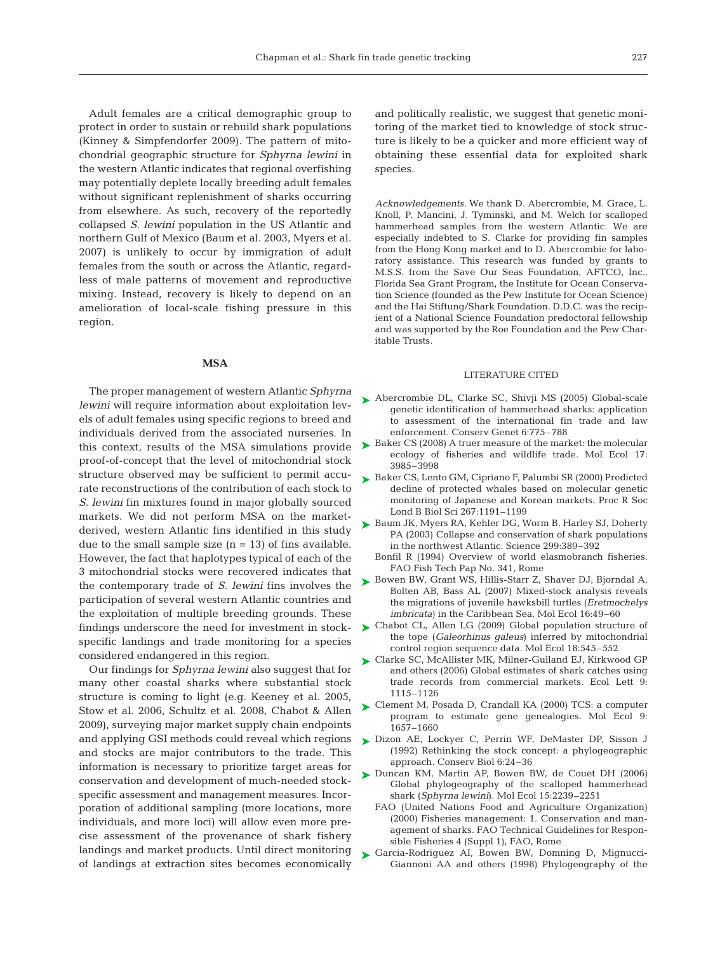Adult females are a critical demographic group to protect in order to sustain or rebuild shark populations (Kinney & Simpfendorfer 2009). The pattern of mitochondrial geographic structure for *Sphyrna lewini* in the western Atlantic indicates that regional overfishing may potentially deplete locally breeding adult females without significant replenishment of sharks occurring from elsewhere. As such, recovery of the reportedly collapsed *S. lewini* population in the US Atlantic and northern Gulf of Mexico (Baum et al. 2003, Myers et al. 2007) is unlikely to occur by immigration of adult females from the south or across the Atlantic, regardless of male patterns of movement and reproductive mixing. Instead, recovery is likely to depend on an amelioration of local-scale fishing pressure in this region.

### **MSA**

The proper management of western Atlantic *Sphyrna lewini* will require information about exploitation levels of adult females using specific regions to breed and individuals derived from the associated nurseries. In this context, results of the MSA simulations provide proof-of-concept that the level of mitochondrial stock structure observed may be sufficient to permit accurate reconstructions of the contribution of each stock to *S. lewini* fin mixtures found in major globally sourced markets. We did not perform MSA on the marketderived, western Atlantic fins identified in this study due to the small sample size  $(n = 13)$  of fins available. However, the fact that haplotypes typical of each of the 3 mitochondrial stocks were recovered indicates that the contemporary trade of *S. lewini* fins involves the participation of several western Atlantic countries and the exploitation of multiple breeding grounds. These findings underscore the need for investment in stockspecific landings and trade monitoring for a species considered endangered in this region.

Our findings for *Sphyrna lewini* also suggest that for many other coastal sharks where substantial stock structure is coming to light (e.g. Keeney et al. 2005, Stow et al. 2006, Schultz et al. 2008, Chabot & Allen 2009), surveying major market supply chain endpoints and applying GSI methods could reveal which regions and stocks are major contributors to the trade. This information is necessary to prioritize target areas for conservation and development of much-needed stockspecific assessment and management measures. Incorporation of additional sampling (more locations, more individuals, and more loci) will allow even more precise assessment of the provenance of shark fishery landings and market products. Until direct monitoring of landings at extraction sites becomes economically

and politically realistic, we suggest that genetic monitoring of the market tied to knowledge of stock structure is likely to be a quicker and more efficient way of obtaining these essential data for exploited shark species.

*Acknowledgements.* We thank D. Abercrombie, M. Grace, L. Knoll, P. Mancini, J. Tyminski, and M. Welch for scalloped hammerhead samples from the western Atlantic. We are especially indebted to S. Clarke for providing fin samples from the Hong Kong market and to D. Abercrombie for laboratory assistance. This research was funded by grants to M.S.S. from the Save Our Seas Foundation, AFTCO, Inc., Florida Sea Grant Program, the Institute for Ocean Conservation Science (founded as the Pew Institute for Ocean Science) and the Hai Stiftung/Shark Foundation. D.D.C. was the recipient of a National Science Foundation predoctoral fellowship and was supported by the Roe Foundation and the Pew Charitable Trusts.

## LITERATURE CITED

- ► Abercrombie DL, Clarke SC, Shivji MS (2005) Global-scale genetic identification of hammerhead sharks: application to assessment of the international fin trade and law enforcement. Conserv Genet 6:775–788
- ► Baker CS (2008) A truer measure of the market: the molecular ecology of fisheries and wildlife trade. Mol Ecol 17: 3985–3998
- ► Baker CS, Lento GM, Cipriano F, Palumbi SR (2000) Predicted decline of protected whales based on molecular genetic monitoring of Japanese and Korean markets. Proc R Soc Lond B Biol Sci 267:1191–1199
- ► Baum JK, Myers RA, Kehler DG, Worm B, Harley SJ, Doherty PA (2003) Collapse and conservation of shark populations in the northwest Atlantic. Science 299:389–392
	- Bonfil R (1994) Overview of world elasmobranch fisheries. FAO Fish Tech Pap No. 341, Rome
- ► Bowen BW, Grant WS, Hillis-Starr Z, Shaver DJ, Bjorndal A, Bolten AB, Bass AL (2007) Mixed-stock analysis reveals the migrations of juvenile hawksbill turtles (*Eretmochelys imbricata*) in the Caribbean Sea. Mol Ecol 16:49–60
- ► Chabot CL, Allen LG (2009) Global population structure of the tope (*Galeorhinus galeus*) inferred by mitochondrial control region sequence data. Mol Ecol 18:545–552
- ► Clarke SC, McAllister MK, Milner-Gulland EJ, Kirkwood GP and others (2006) Global estimates of shark catches using trade records from commercial markets. Ecol Lett 9: 1115–1126
- Clement M, Posada D, Crandall KA (2000) TCS: a computer ➤ program to estimate gene genealogies. Mol Ecol 9: 1657–1660
- ▶ Dizon AE, Lockyer C, Perrin WF, DeMaster DP, Sisson J (1992) Rethinking the stock concept: a phylogeographic approach. Conserv Biol 6:24–36
- ▶ Duncan KM, Martin AP, Bowen BW, de Couet DH (2006) Global phylogeography of the scalloped hammerhead shark (*Sphyrna lewini*). Mol Ecol 15:2239–2251
	- FAO (United Nations Food and Agriculture Organization) (2000) Fisheries management: 1. Conservation and management of sharks. FAO Technical Guidelines for Responsible Fisheries 4 (Suppl 1), FAO, Rome
- Garcia-Rodriguez AI, Bowen BW, Domning D, Mignucci-➤Giannoni AA and others (1998) Phylogeography of the